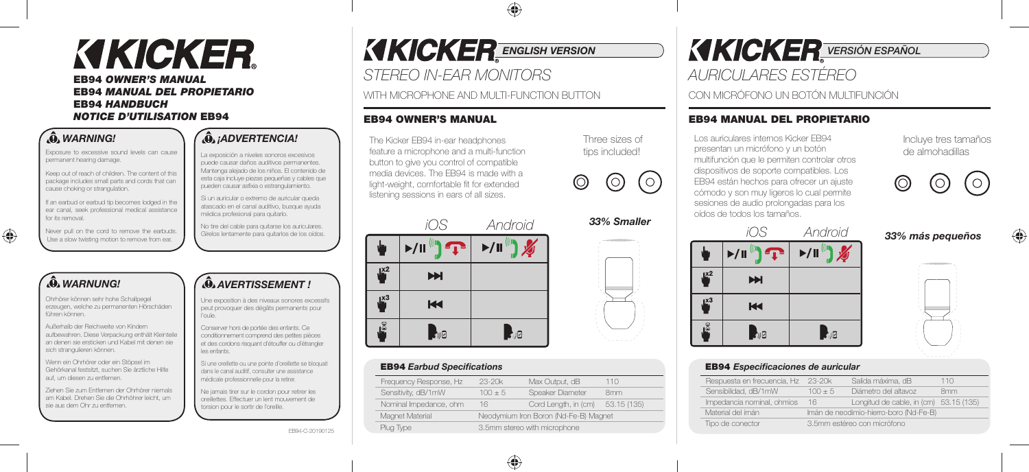# KIKICKER

#### **EB94** *OWNER'S MANUAL* **EB94** *MANUAL DEL PROPIETARIO* **EB94** *HANDBUCH NOTICE D'UTILISATION* **EB94**

#### *WARNING!*

Exposure to excessive sound levels can cause permanent hearing damage.

Keep out of reach of children. The content of this package includes small parts and cords that can cause choking or strangulation.

If an earbud or earbud tip becomes lodged in the ear canal, seek professional medical assistance for its removal.

Never pull on the cord to remove the earbuds. Use a slow twisting motion to remove from ear.

### *WARNUNG!*

◈

Ohrhörer können sehr hohe Schallpegel erzeugen, welche zu permanenten Hörschäden führen können.

Außerhalb der Reichweite von Kindern aufbewahren. Diese Verpackung enthält Kleinteile an denen sie ersticken und Kabel mit denen sie sich strangulieren können.

Wenn ein Ohrhörer oder ein Stöpsel im Gehörkanal festsitzt, suchen Sie ärztliche Hilfe auf, um diesen zu entfernen.

Ziehen Sie zum Entfernen der Ohrhörer niemals am Kabel. Drehen Sie die Ohrhöhrer leicht, um sie aus dem Ohr zu entfernen.

#### *¡ADVERTENCIA!*

La exposición a niveles sonoros excesivos puede causar daños auditivos permanentes. Mantenga alejado de los niños. El contenido de esta caja incluye piezas pequeñas y cables que pueden causar asfixia o estrangulamiento.

Si un auricular o extremo de auricular queda atascado en el canal auditivo, busque ayuda médica profesional para quitarlo.

No tire del cable para quitarse los auriculares. Gírelos lentamente para quitarlos de los oídos.

#### *AVERTISSEMENT !*

Une exposition à des niveaux sonores excessifs peut provoquer des dégâts permanents pour l'ouïe.

Conserver hors de portée des enfants. Ce conditionnement comprend des petites pièces et des cordons risquant d'étouffer ou d'étrangler les enfants.

Si une oreillette ou une pointe d'oreillette se bloquait dans le canal auditif, consulter une assistance médicale professionnelle pour la retirer.

Ne jamais tirer sur le cordon pour retirer les oreillettes. Effectuer un lent mouvement de torsion pour le sortir de l'oreille.

EB94-C-20190125

### **KICKER** ENGLISH VERSION

*STEREO IN-EAR MONITORS* 

WITH MICROPHONE AND MULTI-FUNCTION BUTTON

#### **EB94 OWNER'S MANUAL**

The Kicker EB94 in-ear headphones feature a microphone and a multi-function button to give you control of compatible media devices. The EB94 is made with a light-weight, comfortable fit for extended listening sessions in ears of all sizes.



#### **EB94** Earbud Specifications

| Frequency Response, Hz | $23 - 20k$                            | Max Output, dB       | 110             |  |
|------------------------|---------------------------------------|----------------------|-----------------|--|
| Sensitivity, dB/1mW    | $100 + 5$                             | Speaker Diameter     | 8 <sub>mm</sub> |  |
| Nominal Impedance, ohm | 16                                    | Cord Length, in (cm) | 53.15 (135)     |  |
| Magnet Material        | Neodymium Iron Boron (Nd-Fe-B) Magnet |                      |                 |  |
| Plug Type              | 3.5mm stereo with microphone          |                      |                 |  |
|                        |                                       |                      |                 |  |

*33% Smaller*

 $\circ$ 

Three sizes of tips included!

O

*XIXICKER VERSIÓN ESPAÑOL* 

*AURICULARES ESTÉREO*

CON MICRÓFONO UN BOTÓN MULTIFUNCIÓN

#### **EB94 MANUAL DEL PROPIETARIO**

Los auriculares internos Kicker EB94 presentan un micrófono y un botón multifunción que le permiten controlar otros dispositivos de soporte compatibles. Los EB94 están hechos para ofrecer un ajuste cómodo y son muy ligeros lo cual permite sesiones de audio prolongadas para los oídos de todos los tamaños.

#### Incluye tres tamaños de almohadillas



### *33% más pequeños*

|                             | $\sqrt{1}$<br>$\blacktriangleright/\parallel$ | $\blacktriangleright/\parallel$ |
|-----------------------------|-----------------------------------------------|---------------------------------|
| $\mathbb{R}^2$              | H                                             |                                 |
| $\mathbf{I}^{\mathbf{X}^3}$ | $\overline{\mathsf{K}}$                       |                                 |
|                             | ■別日                                           | ä                               |

| ï<br>Ì<br>in 1999.<br>Prima politika |  |
|--------------------------------------|--|
| í<br>I<br>I<br>í                     |  |
|                                      |  |
|                                      |  |
|                                      |  |

#### **EB94** *Especificaciones de auricular*

| Respuesta en frecuencia, Hz | $23 - 20k$                             | Salida máxima, dB                      | 110             |  |
|-----------------------------|----------------------------------------|----------------------------------------|-----------------|--|
| Sensibilidad, dB/1mW        | $100 + 5$                              | Diámetro del altavoz                   | 8 <sub>mm</sub> |  |
| Impedancia nominal, ohmios  | 16                                     | Longitud de cable, in (cm) 53.15 (135) |                 |  |
| Material del imán           | Imán de neodimio-hierro-boro (Nd-Fe-B) |                                        |                 |  |
| Tipo de conector            | 3.5mm estéreo con micrófono            |                                        |                 |  |
|                             |                                        |                                        |                 |  |